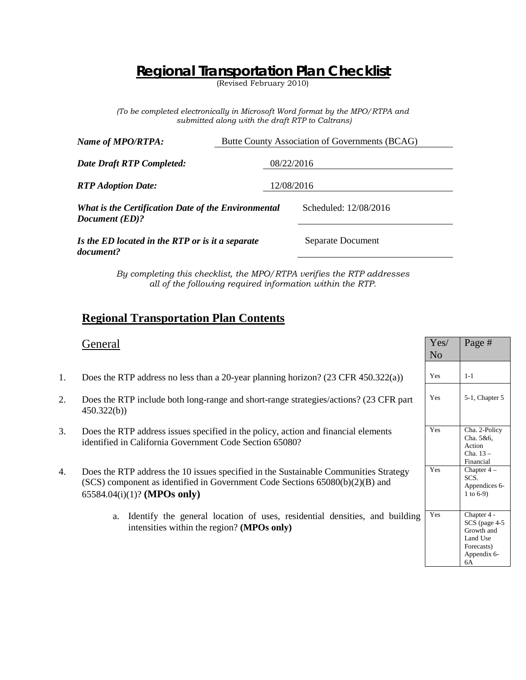## **Regional Transportation Plan Checklist**

(Revised February 2010)

*(To be completed electronically in Microsoft Word format by the MPO/RTPA and submitted along with the draft RTP to Caltrans)*

| Name of MPO/RTPA:                                                     | Butte County Association of Governments (BCAG) |                       |
|-----------------------------------------------------------------------|------------------------------------------------|-----------------------|
| <b>Date Draft RTP Completed:</b>                                      | 08/22/2016                                     |                       |
| <b>RTP</b> Adoption Date:                                             |                                                | 12/08/2016            |
| What is the Certification Date of the Environmental<br>Document (ED)? |                                                | Scheduled: 12/08/2016 |
| Is the ED located in the RTP or is it a separate<br>document?         |                                                | Separate Document     |

*By completing this checklist, the MPO/RTPA verifies the RTP addresses all of the following required information within the RTP.*

### **Regional Transportation Plan Contents**

|    | General                                                                                                                                                                                               | Yes/<br>N <sub>o</sub> | Page #                                                                               |
|----|-------------------------------------------------------------------------------------------------------------------------------------------------------------------------------------------------------|------------------------|--------------------------------------------------------------------------------------|
| 1. | Does the RTP address no less than a 20-year planning horizon? $(23 \text{ CFR } 450.322(a))$                                                                                                          | Yes                    | $1 - 1$                                                                              |
| 2. | Does the RTP include both long-range and short-range strategies/actions? (23 CFR part<br>450.322(b)                                                                                                   | Yes                    | 5-1, Chapter 5                                                                       |
| 3. | Does the RTP address issues specified in the policy, action and financial elements<br>identified in California Government Code Section 65080?                                                         | Yes                    | Cha. 2-Policy<br>Cha. 5&6,<br>Action<br>Cha. $13-$<br>Financial                      |
| 4. | Does the RTP address the 10 issues specified in the Sustainable Communities Strategy<br>(SCS) component as identified in Government Code Sections 65080(b)(2)(B) and<br>$65584.04(i)(1)?$ (MPOs only) | Yes                    | Chapter $4-$<br>SCS.<br>Appendices 6-<br>1 to $6-9$ )                                |
|    | Identify the general location of uses, residential densities, and building<br>a.<br>intensities within the region? (MPOs only)                                                                        | Yes                    | Chapter 4 -<br>SCS (page 4-5)<br>Growth and<br>Land Use<br>Forecasts)<br>Appendix 6- |

6A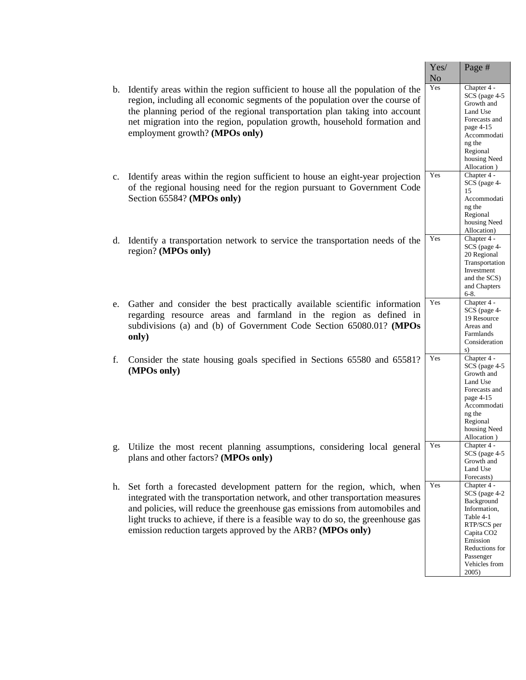|             |                                                                                                                                                                                                                                                                                                                                                                                           | Yes/<br>N <sub>o</sub> | Page #                                                                                                                                                                                              |
|-------------|-------------------------------------------------------------------------------------------------------------------------------------------------------------------------------------------------------------------------------------------------------------------------------------------------------------------------------------------------------------------------------------------|------------------------|-----------------------------------------------------------------------------------------------------------------------------------------------------------------------------------------------------|
| b.          | Identify areas within the region sufficient to house all the population of the<br>region, including all economic segments of the population over the course of<br>the planning period of the regional transportation plan taking into account<br>net migration into the region, population growth, household formation and<br>employment growth? (MPOs only)                              | Yes                    | Chapter 4 -<br>SCS (page 4-5<br>Growth and<br>Land Use<br>Forecasts and<br>page 4-15<br>Accommodati<br>ng the<br>Regional<br>housing Need<br>Allocation)                                            |
| $c_{\cdot}$ | Identify areas within the region sufficient to house an eight-year projection<br>of the regional housing need for the region pursuant to Government Code<br>Section 65584? (MPOs only)                                                                                                                                                                                                    | Yes                    | Chapter 4 -<br>SCS (page 4-<br>15<br>Accommodati<br>ng the<br>Regional<br>housing Need<br>Allocation)                                                                                               |
| d.          | Identify a transportation network to service the transportation needs of the<br>region? (MPOs only)                                                                                                                                                                                                                                                                                       | Yes                    | Chapter 4 -<br>SCS (page 4-<br>20 Regional<br>Transportation<br>Investment<br>and the SCS)<br>and Chapters<br>$6 - 8.$                                                                              |
| e.          | Gather and consider the best practically available scientific information<br>regarding resource areas and farmland in the region as defined in<br>subdivisions (a) and (b) of Government Code Section 65080.01? (MPOs<br>only)                                                                                                                                                            | Yes                    | Chapter $\overline{4}$ -<br>SCS (page 4-<br>19 Resource<br>Areas and<br>Farmlands<br>Consideration<br>s)                                                                                            |
| f.          | Consider the state housing goals specified in Sections 65580 and 65581?<br>(MPOs only)                                                                                                                                                                                                                                                                                                    | Yes                    | Chapter 4 -<br>SCS (page 4-5<br>Growth and<br>Land Use<br>Forecasts and<br>page 4-15<br>Accommodati<br>ng the<br>Regional<br>housing Need<br>Allocation)                                            |
|             | g. Utilize the most recent planning assumptions, considering local general<br>plans and other factors? (MPOs only)                                                                                                                                                                                                                                                                        | Yes                    | Chapter 4 -<br>SCS (page 4-5<br>Growth and<br>Land Use<br>Forecasts)                                                                                                                                |
| h.          | Set forth a forecasted development pattern for the region, which, when<br>integrated with the transportation network, and other transportation measures<br>and policies, will reduce the greenhouse gas emissions from automobiles and<br>light trucks to achieve, if there is a feasible way to do so, the greenhouse gas<br>emission reduction targets approved by the ARB? (MPOs only) | Yes                    | Chapter $\overline{4}$ -<br>SCS (page 4-2)<br>Background<br>Information,<br>Table 4-1<br>RTP/SCS per<br>Capita CO <sub>2</sub><br>Emission<br>Reductions for<br>Passenger<br>Vehicles from<br>2005) |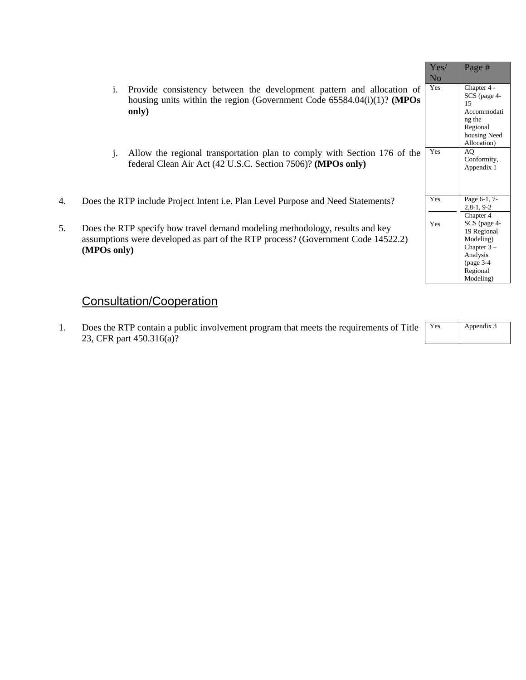|    |                                                                                                                                                                                 | Yes/<br>N <sub>o</sub> | Page #                                                                                                     |
|----|---------------------------------------------------------------------------------------------------------------------------------------------------------------------------------|------------------------|------------------------------------------------------------------------------------------------------------|
|    | Provide consistency between the development pattern and allocation of<br>i.<br>housing units within the region (Government Code $65584.04(i)(1)$ ? (MPOs<br>only)               | Yes                    | Chapter 4 -<br>SCS (page 4-<br>15<br>Accommodati<br>ng the<br>Regional<br>housing Need<br>Allocation)      |
|    | Allow the regional transportation plan to comply with Section 176 of the<br>1.<br>federal Clean Air Act (42 U.S.C. Section 7506)? (MPOs only)                                   | Yes                    | AO.<br>Conformity,<br>Appendix 1                                                                           |
| 4. | Does the RTP include Project Intent <i>i.e.</i> Plan Level Purpose and Need Statements?                                                                                         | Yes                    | Page 6-1, 7-<br>$2,8-1,9-2$<br>Chapter $4-$                                                                |
| 5. | Does the RTP specify how travel demand modeling methodology, results and key<br>assumptions were developed as part of the RTP process? (Government Code 14522.2)<br>(MPOs only) | Yes                    | SCS (page 4-<br>19 Regional<br>Modeling)<br>Chapter $3 -$<br>Analysis<br>page 3-4<br>Regional<br>Modeling) |

# Consultation/Cooperation

1. Does the RTP contain a public involvement program that meets the requirements of Title 23, CFR part 450.316(a)?

| Yes | Appendix 3 |
|-----|------------|
|     |            |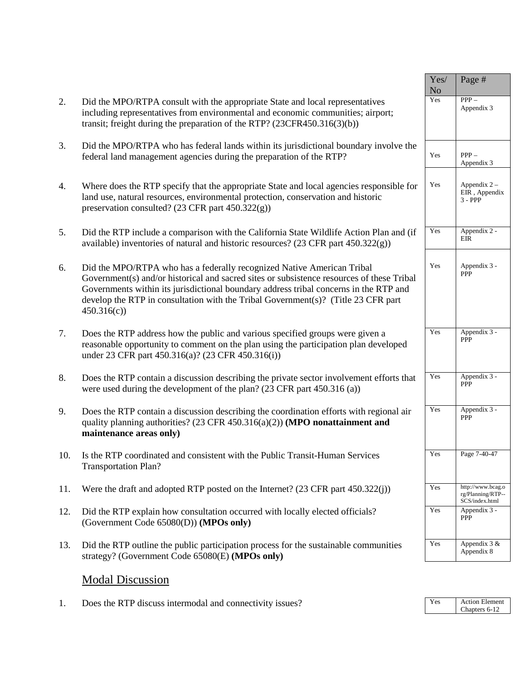|     |                                                                                                                                                                                                                                                                                                                                                                 | Yes/<br>N <sub>o</sub> | Page #                                                   |
|-----|-----------------------------------------------------------------------------------------------------------------------------------------------------------------------------------------------------------------------------------------------------------------------------------------------------------------------------------------------------------------|------------------------|----------------------------------------------------------|
| 2.  | Did the MPO/RTPA consult with the appropriate State and local representatives<br>including representatives from environmental and economic communities; airport;<br>transit; freight during the preparation of the RTP? (23CFR450.316(3)(b))                                                                                                                    | Yes                    | $PPP -$<br>Appendix 3                                    |
| 3.  | Did the MPO/RTPA who has federal lands within its jurisdictional boundary involve the<br>federal land management agencies during the preparation of the RTP?                                                                                                                                                                                                    | Yes                    | $PPP -$<br>Appendix 3                                    |
| 4.  | Where does the RTP specify that the appropriate State and local agencies responsible for<br>land use, natural resources, environmental protection, conservation and historic<br>preservation consulted? $(23 \text{ CFR part } 450.322(g))$                                                                                                                     | Yes                    | Appendix $2 -$<br>EIR, Appendix<br>$3 - PPP$             |
| 5.  | Did the RTP include a comparison with the California State Wildlife Action Plan and (if<br>available) inventories of natural and historic resources? (23 CFR part 450.322(g))                                                                                                                                                                                   | Yes                    | Appendix 2 -<br>EIR                                      |
| 6.  | Did the MPO/RTPA who has a federally recognized Native American Tribal<br>Government(s) and/or historical and sacred sites or subsistence resources of these Tribal<br>Governments within its jurisdictional boundary address tribal concerns in the RTP and<br>develop the RTP in consultation with the Tribal Government(s)? (Title 23 CFR part<br>450.316(c) | Yes                    | Appendix 3 -<br>PPP                                      |
| 7.  | Does the RTP address how the public and various specified groups were given a<br>reasonable opportunity to comment on the plan using the participation plan developed<br>under 23 CFR part 450.316(a)? (23 CFR 450.316(i))                                                                                                                                      | Yes                    | Appendix 3 -<br><b>PPP</b>                               |
| 8.  | Does the RTP contain a discussion describing the private sector involvement efforts that<br>were used during the development of the plan? (23 CFR part 450.316 (a))                                                                                                                                                                                             | Yes                    | Appendix 3 -<br><b>PPP</b>                               |
| 9.  | Does the RTP contain a discussion describing the coordination efforts with regional air<br>quality planning authorities? $(23 \text{ CFR } 450.316(a)(2))$ (MPO nonattainment and<br>maintenance areas only)                                                                                                                                                    | Yes                    | Appendix 3 -<br>PPP                                      |
| 10. | Is the RTP coordinated and consistent with the Public Transit-Human Services<br><b>Transportation Plan?</b>                                                                                                                                                                                                                                                     | Yes                    | Page 7-40-47                                             |
| 11. | Were the draft and adopted RTP posted on the Internet? $(23 \text{ CFR part } 450.322(j))$                                                                                                                                                                                                                                                                      | Yes                    | http://www.bcag.o<br>rg/Planning/RTP--<br>SCS/index.html |
| 12. | Did the RTP explain how consultation occurred with locally elected officials?<br>(Government Code 65080(D)) (MPOs only)                                                                                                                                                                                                                                         | Yes                    | Appendix 3 -<br><b>PPP</b>                               |
| 13. | Did the RTP outline the public participation process for the sustainable communities<br>strategy? (Government Code 65080(E) (MPOs only)                                                                                                                                                                                                                         | Yes                    | Appendix 3 &<br>Appendix 8                               |

## Modal Discussion

1. Does the RTP discuss intermodal and connectivity issues?

| Y es | <b>Action Element</b> |
|------|-----------------------|
|      | Chapters 6-12         |
|      |                       |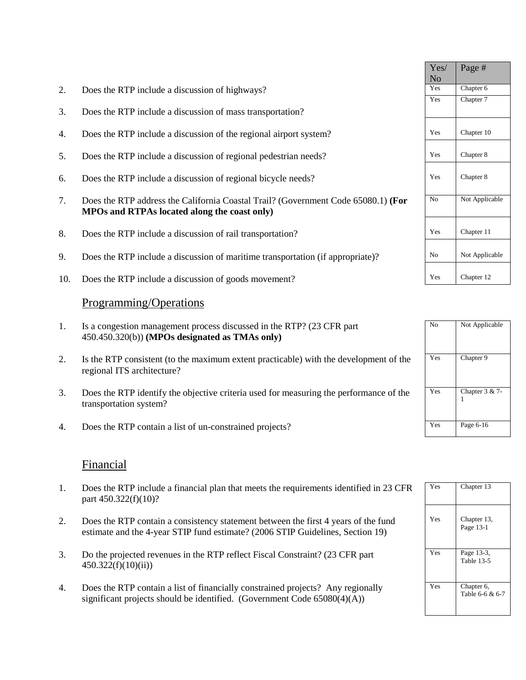| Chapter 6<br>Yes<br>2.<br>Does the RTP include a discussion of highways?<br>Chapter 7<br>Yes<br>3.<br>Does the RTP include a discussion of mass transportation?<br>Chapter 10<br>Yes<br>Does the RTP include a discussion of the regional airport system?<br>4.<br>Chapter 8<br>Yes<br>5.<br>Does the RTP include a discussion of regional pedestrian needs?<br>Chapter 8<br>Yes<br>Does the RTP include a discussion of regional bicycle needs?<br>6.<br>No<br>7.<br>Does the RTP address the California Coastal Trail? (Government Code 65080.1) (For<br>MPOs and RTPAs located along the coast only)<br>Chapter 11<br>8.<br>Yes<br>Does the RTP include a discussion of rail transportation?<br>9.<br>Does the RTP include a discussion of maritime transportation (if appropriate)?<br>No<br>Chapter 12<br>Yes<br>Does the RTP include a discussion of goods movement?<br>10.<br>Programming/Operations<br>No<br>1.<br>Is a congestion management process discussed in the RTP? (23 CFR part<br>450.450.320(b)) (MPOs designated as TMAs only)<br>Chapter 9<br>Yes<br>2.<br>Is the RTP consistent (to the maximum extent practicable) with the development of the<br>regional ITS architecture?<br>Yes<br>3.<br>Does the RTP identify the objective criteria used for measuring the performance of the<br>1<br>transportation system?<br>Page 6-16<br>Yes<br>Does the RTP contain a list of un-constrained projects?<br>4. |  | Yes/<br>N <sub>o</sub> | Page #         |
|--------------------------------------------------------------------------------------------------------------------------------------------------------------------------------------------------------------------------------------------------------------------------------------------------------------------------------------------------------------------------------------------------------------------------------------------------------------------------------------------------------------------------------------------------------------------------------------------------------------------------------------------------------------------------------------------------------------------------------------------------------------------------------------------------------------------------------------------------------------------------------------------------------------------------------------------------------------------------------------------------------------------------------------------------------------------------------------------------------------------------------------------------------------------------------------------------------------------------------------------------------------------------------------------------------------------------------------------------------------------------------------------------------------------------------|--|------------------------|----------------|
|                                                                                                                                                                                                                                                                                                                                                                                                                                                                                                                                                                                                                                                                                                                                                                                                                                                                                                                                                                                                                                                                                                                                                                                                                                                                                                                                                                                                                                |  |                        |                |
|                                                                                                                                                                                                                                                                                                                                                                                                                                                                                                                                                                                                                                                                                                                                                                                                                                                                                                                                                                                                                                                                                                                                                                                                                                                                                                                                                                                                                                |  |                        |                |
|                                                                                                                                                                                                                                                                                                                                                                                                                                                                                                                                                                                                                                                                                                                                                                                                                                                                                                                                                                                                                                                                                                                                                                                                                                                                                                                                                                                                                                |  |                        |                |
|                                                                                                                                                                                                                                                                                                                                                                                                                                                                                                                                                                                                                                                                                                                                                                                                                                                                                                                                                                                                                                                                                                                                                                                                                                                                                                                                                                                                                                |  |                        |                |
|                                                                                                                                                                                                                                                                                                                                                                                                                                                                                                                                                                                                                                                                                                                                                                                                                                                                                                                                                                                                                                                                                                                                                                                                                                                                                                                                                                                                                                |  |                        |                |
|                                                                                                                                                                                                                                                                                                                                                                                                                                                                                                                                                                                                                                                                                                                                                                                                                                                                                                                                                                                                                                                                                                                                                                                                                                                                                                                                                                                                                                |  |                        | Not Applicable |
|                                                                                                                                                                                                                                                                                                                                                                                                                                                                                                                                                                                                                                                                                                                                                                                                                                                                                                                                                                                                                                                                                                                                                                                                                                                                                                                                                                                                                                |  |                        |                |
|                                                                                                                                                                                                                                                                                                                                                                                                                                                                                                                                                                                                                                                                                                                                                                                                                                                                                                                                                                                                                                                                                                                                                                                                                                                                                                                                                                                                                                |  |                        | Not Applicable |
|                                                                                                                                                                                                                                                                                                                                                                                                                                                                                                                                                                                                                                                                                                                                                                                                                                                                                                                                                                                                                                                                                                                                                                                                                                                                                                                                                                                                                                |  |                        |                |
|                                                                                                                                                                                                                                                                                                                                                                                                                                                                                                                                                                                                                                                                                                                                                                                                                                                                                                                                                                                                                                                                                                                                                                                                                                                                                                                                                                                                                                |  |                        |                |
|                                                                                                                                                                                                                                                                                                                                                                                                                                                                                                                                                                                                                                                                                                                                                                                                                                                                                                                                                                                                                                                                                                                                                                                                                                                                                                                                                                                                                                |  |                        | Not Applicable |
|                                                                                                                                                                                                                                                                                                                                                                                                                                                                                                                                                                                                                                                                                                                                                                                                                                                                                                                                                                                                                                                                                                                                                                                                                                                                                                                                                                                                                                |  |                        |                |
|                                                                                                                                                                                                                                                                                                                                                                                                                                                                                                                                                                                                                                                                                                                                                                                                                                                                                                                                                                                                                                                                                                                                                                                                                                                                                                                                                                                                                                |  |                        | Chapter 3 & 7- |
|                                                                                                                                                                                                                                                                                                                                                                                                                                                                                                                                                                                                                                                                                                                                                                                                                                                                                                                                                                                                                                                                                                                                                                                                                                                                                                                                                                                                                                |  |                        |                |

#### **Financial**

- 1. Does the RTP include a financial plan that meets the requirements identified in 23 CFR part 450.322(f)(10)?
- 2. Does the RTP contain a consistency statement between the first 4 years of the fund estimate and the 4-year STIP fund estimate? (2006 STIP Guidelines, Section 19)
- 3. Do the projected revenues in the RTP reflect Fiscal Constraint? (23 CFR part  $450.322(f)(10)(ii)$ )
- 4. Does the RTP contain a list of financially constrained projects? Any regionally significant projects should be identified. (Government Code 65080(4)(A))

| Yes | Chapter 13                    |
|-----|-------------------------------|
| Yes | Chapter 13,<br>Page 13-1      |
| Yes | Page 13-3,<br>Table 13-5      |
| Yes | Chapter 6,<br>Table 6-6 & 6-7 |